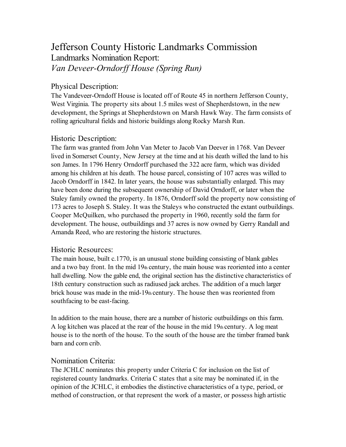# Jefferson County Historic Landmarks Commission Landmarks Nomination Report: *Van Deveer-Orndorff House (Spring Run)*

## Physical Description:

The Vandeveer-Orndoff House is located off of Route 45 in northern Jefferson County, West Virginia. The property sits about 1.5 miles west of Shepherdstown, in the new development, the Springs at Shepherdstown on Marsh Hawk Way. The farm consists of rolling agricultural fields and historic buildings along Rocky Marsh Run.

### Historic Description:

The farm was granted from John Van Meter to Jacob Van Deever in 1768. Van Deveer lived in Somerset County, New Jersey at the time and at his death willed the land to his son James. In 1796 Henry Orndorff purchased the 322 acre farm, which was divided among his children at his death. The house parcel, consisting of 107 acres was willed to Jacob Orndorff in 1842. In later years, the house was substantially enlarged. This may have been done during the subsequent ownership of David Orndorff, or later when the Staley family owned the property. In 1876, Orndorff sold the property now consisting of 173 acres to Joseph S. Staley. It was the Staleys who constructed the extant outbuildings. Cooper McQuilken, who purchased the property in 1960, recently sold the farm for development. The house, outbuildings and 37 acres is now owned by Gerry Randall and Amanda Reed, who are restoring the historic structures.

#### Historic Resources:

The main house, built c.1770, is an unusual stone building consisting of blank gables and a two bay front. In the mid 19th century, the main house was reoriented into a center hall dwelling. Now the gable end, the original section has the distinctive characteristics of 18th century construction such as radiused jack arches. The addition of a much larger brick house was made in the mid-19th century. The house then was reoriented from southfacing to be east-facing.

In addition to the main house, there are a number of historic outbuildings on this farm. A log kitchen was placed at the rear of the house in the mid 19th century. A log meat house is to the north of the house. To the south of the house are the timber framed bank barn and corn crib.

#### Nomination Criteria:

The JCHLC nominates this property under Criteria C for inclusion on the list of registered county landmarks. Criteria C states that a site may be nominated if, in the opinion of the JCHLC, it embodies the distinctive characteristics of a type, period, or method of construction, or that represent the work of a master, or possess high artistic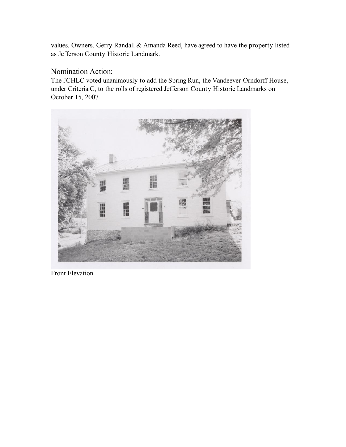values. Owners, Gerry Randall & Amanda Reed, have agreed to have the property listed as Jefferson County Historic Landmark.

#### Nomination Action:

The JCHLC voted unanimously to add the Spring Run, the Vandeever-Orndorff House, under Criteria C, to the rolls of registered Jefferson County Historic Landmarks on October 15, 2007.



Front Elevation